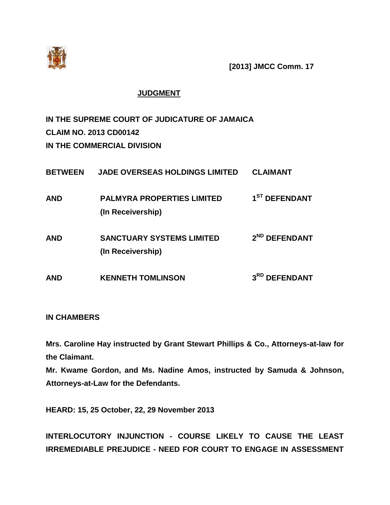

**[2013] JMCC Comm. 17**

### **JUDGMENT**

**IN THE SUPREME COURT OF JUDICATURE OF JAMAICA CLAIM NO. 2013 CD00142 IN THE COMMERCIAL DIVISION**

| <b>BETWEEN</b> | <b>JADE OVERSEAS HOLDINGS LIMITED</b>                  | <b>CLAIMANT</b>           |
|----------------|--------------------------------------------------------|---------------------------|
| <b>AND</b>     | <b>PALMYRA PROPERTIES LIMITED</b><br>(In Receivership) | 1 <sup>ST</sup> DEFENDANT |
| <b>AND</b>     | <b>SANCTUARY SYSTEMS LIMITED</b><br>(In Receivership)  | 2 <sup>ND</sup> DEFENDANT |
| <b>AND</b>     | <b>KENNETH TOMLINSON</b>                               | <b>DEFENDANT</b>          |

**IN CHAMBERS**

**Mrs. Caroline Hay instructed by Grant Stewart Phillips & Co., Attorneys-at-law for the Claimant.**

**Mr. Kwame Gordon, and Ms. Nadine Amos, instructed by Samuda & Johnson, Attorneys-at-Law for the Defendants.**

**HEARD: 15, 25 October, 22, 29 November 2013**

**INTERLOCUTORY INJUNCTION - COURSE LIKELY TO CAUSE THE LEAST IRREMEDIABLE PREJUDICE - NEED FOR COURT TO ENGAGE IN ASSESSMENT**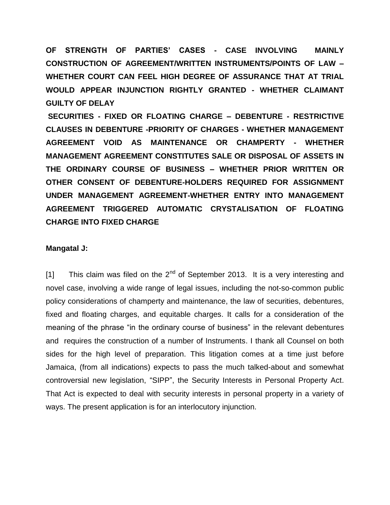**OF STRENGTH OF PARTIES' CASES - CASE INVOLVING MAINLY CONSTRUCTION OF AGREEMENT/WRITTEN INSTRUMENTS/POINTS OF LAW – WHETHER COURT CAN FEEL HIGH DEGREE OF ASSURANCE THAT AT TRIAL WOULD APPEAR INJUNCTION RIGHTLY GRANTED - WHETHER CLAIMANT GUILTY OF DELAY** 

**SECURITIES - FIXED OR FLOATING CHARGE – DEBENTURE - RESTRICTIVE CLAUSES IN DEBENTURE -PRIORITY OF CHARGES - WHETHER MANAGEMENT AGREEMENT VOID AS MAINTENANCE OR CHAMPERTY - WHETHER MANAGEMENT AGREEMENT CONSTITUTES SALE OR DISPOSAL OF ASSETS IN THE ORDINARY COURSE OF BUSINESS – WHETHER PRIOR WRITTEN OR OTHER CONSENT OF DEBENTURE-HOLDERS REQUIRED FOR ASSIGNMENT UNDER MANAGEMENT AGREEMENT-WHETHER ENTRY INTO MANAGEMENT AGREEMENT TRIGGERED AUTOMATIC CRYSTALISATION OF FLOATING CHARGE INTO FIXED CHARGE**

#### **Mangatal J:**

[1] This claim was filed on the  $2^{nd}$  of September 2013. It is a very interesting and novel case, involving a wide range of legal issues, including the not-so-common public policy considerations of champerty and maintenance, the law of securities, debentures, fixed and floating charges, and equitable charges. It calls for a consideration of the meaning of the phrase "in the ordinary course of business" in the relevant debentures and requires the construction of a number of Instruments. I thank all Counsel on both sides for the high level of preparation. This litigation comes at a time just before Jamaica, (from all indications) expects to pass the much talked-about and somewhat controversial new legislation, "SIPP", the Security Interests in Personal Property Act. That Act is expected to deal with security interests in personal property in a variety of ways. The present application is for an interlocutory injunction.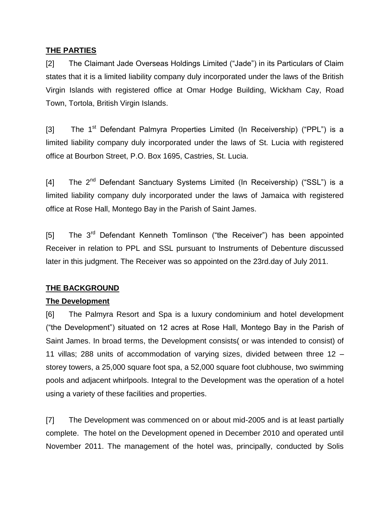### **THE PARTIES**

[2] The Claimant Jade Overseas Holdings Limited ("Jade") in its Particulars of Claim states that it is a limited liability company duly incorporated under the laws of the British Virgin Islands with registered office at Omar Hodge Building, Wickham Cay, Road Town, Tortola, British Virgin Islands.

[3] The 1<sup>st</sup> Defendant Palmyra Properties Limited (In Receivership) ("PPL") is a limited liability company duly incorporated under the laws of St. Lucia with registered office at Bourbon Street, P.O. Box 1695, Castries, St. Lucia.

[4] The 2<sup>nd</sup> Defendant Sanctuary Systems Limited (In Receivership) ("SSL") is a limited liability company duly incorporated under the laws of Jamaica with registered office at Rose Hall, Montego Bay in the Parish of Saint James.

[5] The 3<sup>rd</sup> Defendant Kenneth Tomlinson ("the Receiver") has been appointed Receiver in relation to PPL and SSL pursuant to Instruments of Debenture discussed later in this judgment. The Receiver was so appointed on the 23rd.day of July 2011.

# **THE BACKGROUND**

# **The Development**

[6] The Palmyra Resort and Spa is a luxury condominium and hotel development ("the Development") situated on 12 acres at Rose Hall, Montego Bay in the Parish of Saint James. In broad terms, the Development consists( or was intended to consist) of 11 villas; 288 units of accommodation of varying sizes, divided between three 12 – storey towers, a 25,000 square foot spa, a 52,000 square foot clubhouse, two swimming pools and adjacent whirlpools. Integral to the Development was the operation of a hotel using a variety of these facilities and properties.

[7] The Development was commenced on or about mid-2005 and is at least partially complete. The hotel on the Development opened in December 2010 and operated until November 2011. The management of the hotel was, principally, conducted by Solis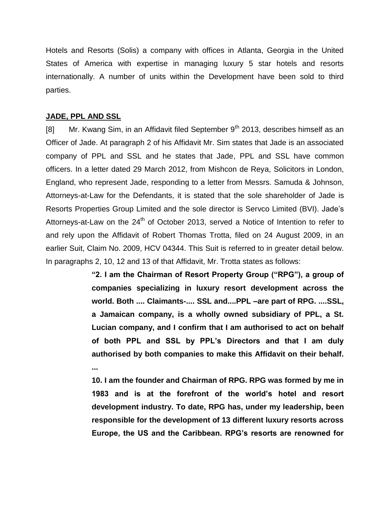Hotels and Resorts (Solis) a company with offices in Atlanta, Georgia in the United States of America with expertise in managing luxury 5 star hotels and resorts internationally. A number of units within the Development have been sold to third parties.

#### **JADE, PPL AND SSL**

[8] Mr. Kwang Sim, in an Affidavit filed September  $9<sup>th</sup>$  2013, describes himself as an Officer of Jade. At paragraph 2 of his Affidavit Mr. Sim states that Jade is an associated company of PPL and SSL and he states that Jade, PPL and SSL have common officers. In a letter dated 29 March 2012, from Mishcon de Reya, Solicitors in London, England, who represent Jade, responding to a letter from Messrs. Samuda & Johnson, Attorneys-at-Law for the Defendants, it is stated that the sole shareholder of Jade is Resorts Properties Group Limited and the sole director is Servco Limited (BVI). Jade's Attorneys-at-Law on the  $24<sup>th</sup>$  of October 2013, served a Notice of Intention to refer to and rely upon the Affidavit of Robert Thomas Trotta, filed on 24 August 2009, in an earlier Suit, Claim No. 2009, HCV 04344. This Suit is referred to in greater detail below. In paragraphs 2, 10, 12 and 13 of that Affidavit, Mr. Trotta states as follows:

> **"2. I am the Chairman of Resort Property Group ("RPG"), a group of companies specializing in luxury resort development across the world. Both .... Claimants-.... SSL and....PPL –are part of RPG. ....SSL, a Jamaican company, is a wholly owned subsidiary of PPL, a St. Lucian company, and I confirm that I am authorised to act on behalf of both PPL and SSL by PPL's Directors and that I am duly authorised by both companies to make this Affidavit on their behalf. ...**

> **10. I am the founder and Chairman of RPG. RPG was formed by me in 1983 and is at the forefront of the world's hotel and resort development industry. To date, RPG has, under my leadership, been responsible for the development of 13 different luxury resorts across Europe, the US and the Caribbean. RPG's resorts are renowned for**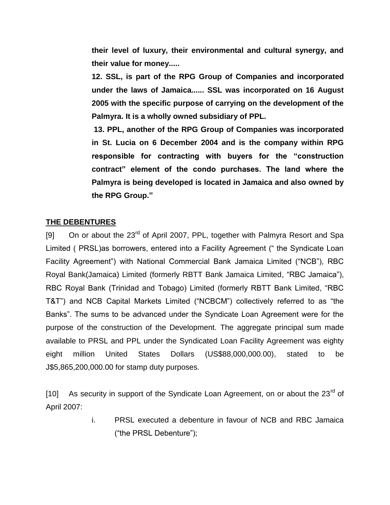**their level of luxury, their environmental and cultural synergy, and their value for money.....**

**12. SSL, is part of the RPG Group of Companies and incorporated under the laws of Jamaica...... SSL was incorporated on 16 August 2005 with the specific purpose of carrying on the development of the Palmyra. It is a wholly owned subsidiary of PPL.** 

**13. PPL, another of the RPG Group of Companies was incorporated in St. Lucia on 6 December 2004 and is the company within RPG responsible for contracting with buyers for the "construction contract" element of the condo purchases. The land where the Palmyra is being developed is located in Jamaica and also owned by the RPG Group."** 

# **THE DEBENTURES**

[9] On or about the  $23^{\text{rd}}$  of April 2007, PPL, together with Palmyra Resort and Spa Limited ( PRSL)as borrowers, entered into a Facility Agreement (" the Syndicate Loan Facility Agreement") with National Commercial Bank Jamaica Limited ("NCB"), RBC Royal Bank(Jamaica) Limited (formerly RBTT Bank Jamaica Limited, "RBC Jamaica"), RBC Royal Bank (Trinidad and Tobago) Limited (formerly RBTT Bank Limited, "RBC T&T") and NCB Capital Markets Limited ("NCBCM") collectively referred to as "the Banks". The sums to be advanced under the Syndicate Loan Agreement were for the purpose of the construction of the Development. The aggregate principal sum made available to PRSL and PPL under the Syndicated Loan Facility Agreement was eighty eight million United States Dollars (US\$88,000,000.00), stated to be J\$5,865,200,000.00 for stamp duty purposes.

[10] As security in support of the Syndicate Loan Agreement, on or about the 23<sup>rd</sup> of April 2007:

> i. PRSL executed a debenture in favour of NCB and RBC Jamaica ("the PRSL Debenture");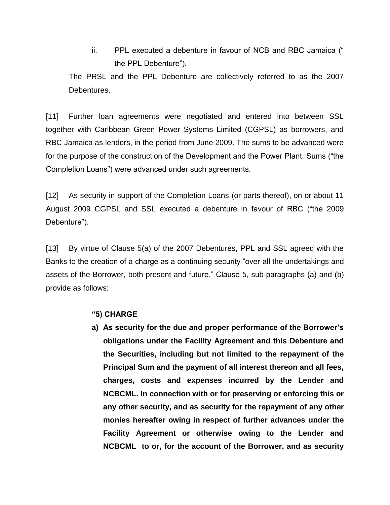ii. PPL executed a debenture in favour of NCB and RBC Jamaica (" the PPL Debenture").

The PRSL and the PPL Debenture are collectively referred to as the 2007 Debentures.

[11] Further loan agreements were negotiated and entered into between SSL together with Caribbean Green Power Systems Limited (CGPSL) as borrowers, and RBC Jamaica as lenders, in the period from June 2009. The sums to be advanced were for the purpose of the construction of the Development and the Power Plant. Sums ("the Completion Loans") were advanced under such agreements.

[12] As security in support of the Completion Loans (or parts thereof), on or about 11 August 2009 CGPSL and SSL executed a debenture in favour of RBC ("the 2009 Debenture").

[13] By virtue of Clause 5(a) of the 2007 Debentures, PPL and SSL agreed with the Banks to the creation of a charge as a continuing security "over all the undertakings and assets of the Borrower, both present and future." Clause 5, sub-paragraphs (a) and (b) provide as follows:

### **"5) CHARGE**

**a) As security for the due and proper performance of the Borrower's obligations under the Facility Agreement and this Debenture and the Securities, including but not limited to the repayment of the Principal Sum and the payment of all interest thereon and all fees, charges, costs and expenses incurred by the Lender and NCBCML. In connection with or for preserving or enforcing this or any other security, and as security for the repayment of any other monies hereafter owing in respect of further advances under the Facility Agreement or otherwise owing to the Lender and NCBCML to or, for the account of the Borrower, and as security**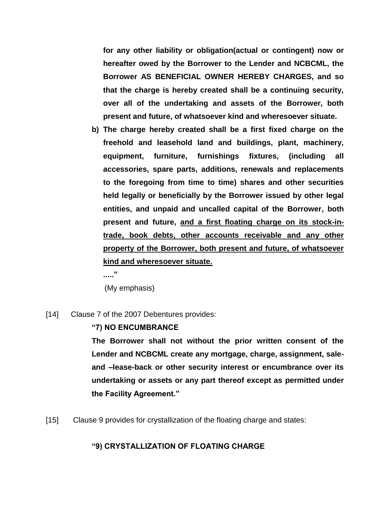**for any other liability or obligation(actual or contingent) now or hereafter owed by the Borrower to the Lender and NCBCML, the Borrower AS BENEFICIAL OWNER HEREBY CHARGES, and so that the charge is hereby created shall be a continuing security, over all of the undertaking and assets of the Borrower, both present and future, of whatsoever kind and wheresoever situate.**

**b) The charge hereby created shall be a first fixed charge on the freehold and leasehold land and buildings, plant, machinery, equipment, furniture, furnishings fixtures, (including all accessories, spare parts, additions, renewals and replacements to the foregoing from time to time) shares and other securities held legally or beneficially by the Borrower issued by other legal entities, and unpaid and uncalled capital of the Borrower, both present and future, and a first floating charge on its stock-intrade, book debts, other accounts receivable and any other property of the Borrower, both present and future, of whatsoever kind and wheresoever situate.**

**....."** (My emphasis)

[14] Clause 7 of the 2007 Debentures provides:

### **"7) NO ENCUMBRANCE**

**The Borrower shall not without the prior written consent of the Lender and NCBCML create any mortgage, charge, assignment, saleand –lease-back or other security interest or encumbrance over its undertaking or assets or any part thereof except as permitted under the Facility Agreement."**

[15] Clause 9 provides for crystallization of the floating charge and states:

# **"9) CRYSTALLIZATION OF FLOATING CHARGE**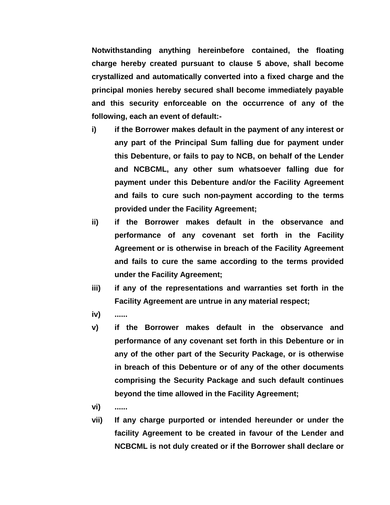**Notwithstanding anything hereinbefore contained, the floating charge hereby created pursuant to clause 5 above, shall become crystallized and automatically converted into a fixed charge and the principal monies hereby secured shall become immediately payable and this security enforceable on the occurrence of any of the following, each an event of default:-**

- **i) if the Borrower makes default in the payment of any interest or any part of the Principal Sum falling due for payment under this Debenture, or fails to pay to NCB, on behalf of the Lender and NCBCML, any other sum whatsoever falling due for payment under this Debenture and/or the Facility Agreement and fails to cure such non-payment according to the terms provided under the Facility Agreement;**
- **ii) if the Borrower makes default in the observance and performance of any covenant set forth in the Facility Agreement or is otherwise in breach of the Facility Agreement and fails to cure the same according to the terms provided under the Facility Agreement;**
- **iii) if any of the representations and warranties set forth in the Facility Agreement are untrue in any material respect;**
- **iv) ......**
- **v) if the Borrower makes default in the observance and performance of any covenant set forth in this Debenture or in any of the other part of the Security Package, or is otherwise in breach of this Debenture or of any of the other documents comprising the Security Package and such default continues beyond the time allowed in the Facility Agreement;**
- **vi) ......**
- **vii) If any charge purported or intended hereunder or under the facility Agreement to be created in favour of the Lender and NCBCML is not duly created or if the Borrower shall declare or**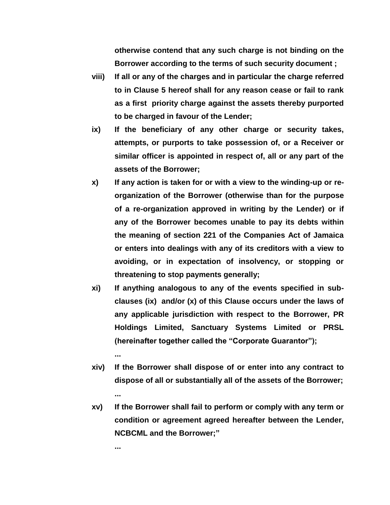**otherwise contend that any such charge is not binding on the Borrower according to the terms of such security document ;**

- **viii) If all or any of the charges and in particular the charge referred to in Clause 5 hereof shall for any reason cease or fail to rank as a first priority charge against the assets thereby purported to be charged in favour of the Lender;**
- **ix) If the beneficiary of any other charge or security takes, attempts, or purports to take possession of, or a Receiver or similar officer is appointed in respect of, all or any part of the assets of the Borrower;**
- **x) If any action is taken for or with a view to the winding-up or reorganization of the Borrower (otherwise than for the purpose of a re-organization approved in writing by the Lender) or if any of the Borrower becomes unable to pay its debts within the meaning of section 221 of the Companies Act of Jamaica or enters into dealings with any of its creditors with a view to avoiding, or in expectation of insolvency, or stopping or threatening to stop payments generally;**
- **xi) If anything analogous to any of the events specified in subclauses (ix) and/or (x) of this Clause occurs under the laws of any applicable jurisdiction with respect to the Borrower, PR Holdings Limited, Sanctuary Systems Limited or PRSL (hereinafter together called the "Corporate Guarantor");**
- **xiv) If the Borrower shall dispose of or enter into any contract to dispose of all or substantially all of the assets of the Borrower; ...**

**...**

 **...**

**xv) If the Borrower shall fail to perform or comply with any term or condition or agreement agreed hereafter between the Lender, NCBCML and the Borrower;"**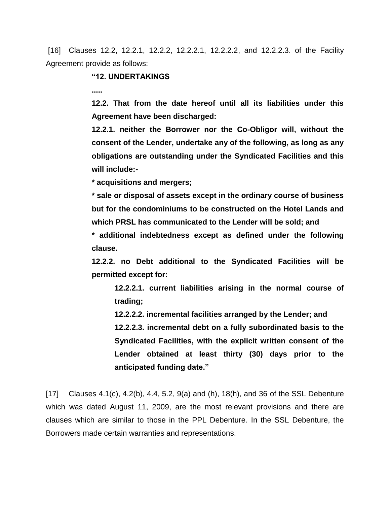[16] Clauses 12.2, 12.2.1, 12.2.2, 12.2.2.1, 12.2.2.2, and 12.2.2.3. of the Facility Agreement provide as follows:

### **"12. UNDERTAKINGS**

**.....**

**12.2. That from the date hereof until all its liabilities under this Agreement have been discharged:**

**12.2.1. neither the Borrower nor the Co-Obligor will, without the consent of the Lender, undertake any of the following, as long as any obligations are outstanding under the Syndicated Facilities and this will include:-**

**\* acquisitions and mergers;**

**\* sale or disposal of assets except in the ordinary course of business but for the condominiums to be constructed on the Hotel Lands and which PRSL has communicated to the Lender will be sold; and**

**\* additional indebtedness except as defined under the following clause.**

**12.2.2. no Debt additional to the Syndicated Facilities will be permitted except for:**

**12.2.2.1. current liabilities arising in the normal course of trading;**

**12.2.2.2. incremental facilities arranged by the Lender; and** 

**12.2.2.3. incremental debt on a fully subordinated basis to the Syndicated Facilities, with the explicit written consent of the Lender obtained at least thirty (30) days prior to the anticipated funding date."**

 $[17]$  Clauses 4.1(c), 4.2(b), 4.4, 5.2, 9(a) and (h), 18(h), and 36 of the SSL Debenture which was dated August 11, 2009, are the most relevant provisions and there are clauses which are similar to those in the PPL Debenture. In the SSL Debenture, the Borrowers made certain warranties and representations.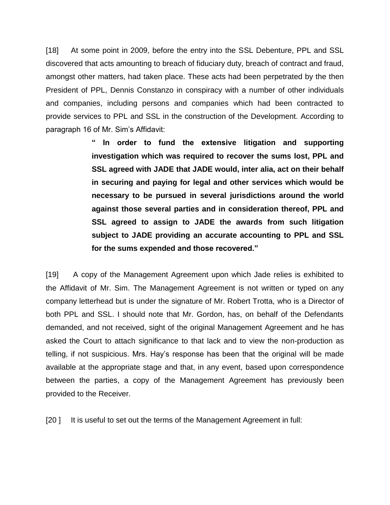[18] At some point in 2009, before the entry into the SSL Debenture, PPL and SSL discovered that acts amounting to breach of fiduciary duty, breach of contract and fraud, amongst other matters, had taken place. These acts had been perpetrated by the then President of PPL, Dennis Constanzo in conspiracy with a number of other individuals and companies, including persons and companies which had been contracted to provide services to PPL and SSL in the construction of the Development. According to paragraph 16 of Mr. Sim's Affidavit:

> **" In order to fund the extensive litigation and supporting investigation which was required to recover the sums lost, PPL and SSL agreed with JADE that JADE would, inter alia, act on their behalf in securing and paying for legal and other services which would be necessary to be pursued in several jurisdictions around the world against those several parties and in consideration thereof, PPL and SSL agreed to assign to JADE the awards from such litigation subject to JADE providing an accurate accounting to PPL and SSL for the sums expended and those recovered."**

[19] A copy of the Management Agreement upon which Jade relies is exhibited to the Affidavit of Mr. Sim. The Management Agreement is not written or typed on any company letterhead but is under the signature of Mr. Robert Trotta, who is a Director of both PPL and SSL. I should note that Mr. Gordon, has, on behalf of the Defendants demanded, and not received, sight of the original Management Agreement and he has asked the Court to attach significance to that lack and to view the non-production as telling, if not suspicious. Mrs. Hay's response has been that the original will be made available at the appropriate stage and that, in any event, based upon correspondence between the parties, a copy of the Management Agreement has previously been provided to the Receiver.

[20] It is useful to set out the terms of the Management Agreement in full: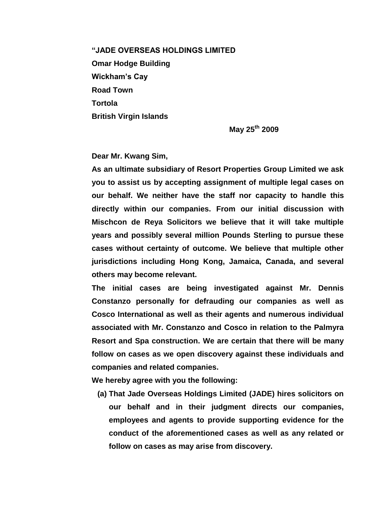**"JADE OVERSEAS HOLDINGS LIMITED Omar Hodge Building Wickham's Cay Road Town Tortola British Virgin Islands**

**May 25th 2009**

**Dear Mr. Kwang Sim,**

**As an ultimate subsidiary of Resort Properties Group Limited we ask you to assist us by accepting assignment of multiple legal cases on our behalf. We neither have the staff nor capacity to handle this directly within our companies. From our initial discussion with Mischcon de Reya Solicitors we believe that it will take multiple years and possibly several million Pounds Sterling to pursue these cases without certainty of outcome. We believe that multiple other jurisdictions including Hong Kong, Jamaica, Canada, and several others may become relevant.**

**The initial cases are being investigated against Mr. Dennis Constanzo personally for defrauding our companies as well as Cosco International as well as their agents and numerous individual associated with Mr. Constanzo and Cosco in relation to the Palmyra Resort and Spa construction. We are certain that there will be many follow on cases as we open discovery against these individuals and companies and related companies.**

**We hereby agree with you the following:**

**(a) That Jade Overseas Holdings Limited (JADE) hires solicitors on our behalf and in their judgment directs our companies, employees and agents to provide supporting evidence for the conduct of the aforementioned cases as well as any related or follow on cases as may arise from discovery.**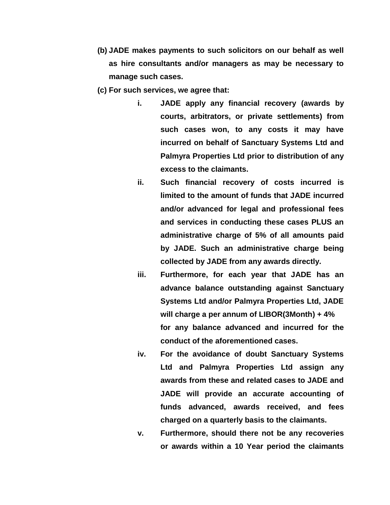- **(b) JADE makes payments to such solicitors on our behalf as well as hire consultants and/or managers as may be necessary to manage such cases.**
- **(c) For such services, we agree that:**
	- **i. JADE apply any financial recovery (awards by courts, arbitrators, or private settlements) from such cases won, to any costs it may have incurred on behalf of Sanctuary Systems Ltd and Palmyra Properties Ltd prior to distribution of any excess to the claimants.**
	- **ii. Such financial recovery of costs incurred is limited to the amount of funds that JADE incurred and/or advanced for legal and professional fees and services in conducting these cases PLUS an administrative charge of 5% of all amounts paid by JADE. Such an administrative charge being collected by JADE from any awards directly.**
	- **iii. Furthermore, for each year that JADE has an advance balance outstanding against Sanctuary Systems Ltd and/or Palmyra Properties Ltd, JADE will charge a per annum of LIBOR(3Month) + 4% for any balance advanced and incurred for the conduct of the aforementioned cases.**
	- **iv. For the avoidance of doubt Sanctuary Systems Ltd and Palmyra Properties Ltd assign any awards from these and related cases to JADE and JADE will provide an accurate accounting of funds advanced, awards received, and fees charged on a quarterly basis to the claimants.**
	- **v. Furthermore, should there not be any recoveries or awards within a 10 Year period the claimants**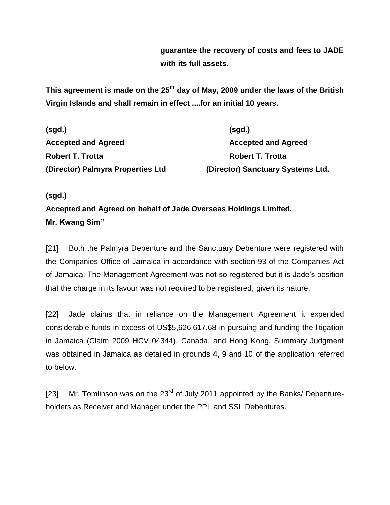**guarantee the recovery of costs and fees to JADE with its full assets.**

**This agreement is made on the 25th day of May, 2009 under the laws of the British Virgin Islands and shall remain in effect ....for an initial 10 years.**

| (sgd.)                            | (sgd.)                            |
|-----------------------------------|-----------------------------------|
| <b>Accepted and Agreed</b>        | <b>Accepted and Agreed</b>        |
| <b>Robert T. Trotta</b>           | <b>Robert T. Trotta</b>           |
| (Director) Palmyra Properties Ltd | (Director) Sanctuary Systems Ltd. |

**(sgd.) Accepted and Agreed on behalf of Jade Overseas Holdings Limited. Mr. Kwang Sim"**

[21] Both the Palmyra Debenture and the Sanctuary Debenture were registered with the Companies Office of Jamaica in accordance with section 93 of the Companies Act of Jamaica. The Management Agreement was not so registered but it is Jade's position that the charge in its favour was not required to be registered, given its nature.

[22] Jade claims that in reliance on the Management Agreement it expended considerable funds in excess of US\$5,626,617.68 in pursuing and funding the litigation in Jamaica (Claim 2009 HCV 04344), Canada, and Hong Kong. Summary Judgment was obtained in Jamaica as detailed in grounds 4, 9 and 10 of the application referred to below.

[23] Mr. Tomlinson was on the  $23<sup>rd</sup>$  of July 2011 appointed by the Banks/ Debentureholders as Receiver and Manager under the PPL and SSL Debentures.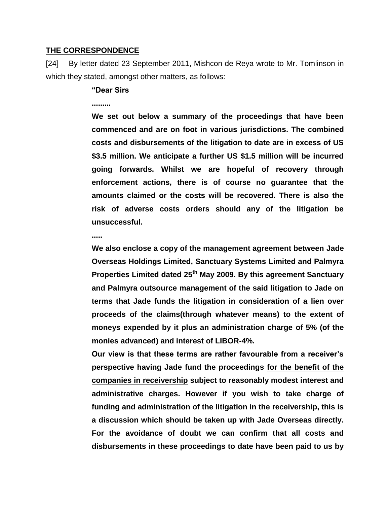#### **THE CORRESPONDENCE**

[24] By letter dated 23 September 2011, Mishcon de Reya wrote to Mr. Tomlinson in which they stated, amongst other matters, as follows:

#### **"Dear Sirs**

#### **.........**

**We set out below a summary of the proceedings that have been commenced and are on foot in various jurisdictions. The combined costs and disbursements of the litigation to date are in excess of US \$3.5 million. We anticipate a further US \$1.5 million will be incurred going forwards. Whilst we are hopeful of recovery through enforcement actions, there is of course no guarantee that the amounts claimed or the costs will be recovered. There is also the risk of adverse costs orders should any of the litigation be unsuccessful.** 

**.....**

**We also enclose a copy of the management agreement between Jade Overseas Holdings Limited, Sanctuary Systems Limited and Palmyra Properties Limited dated 25th May 2009. By this agreement Sanctuary and Palmyra outsource management of the said litigation to Jade on terms that Jade funds the litigation in consideration of a lien over proceeds of the claims(through whatever means) to the extent of moneys expended by it plus an administration charge of 5% (of the monies advanced) and interest of LIBOR-4%.**

**Our view is that these terms are rather favourable from a receiver's perspective having Jade fund the proceedings for the benefit of the companies in receivership subject to reasonably modest interest and administrative charges. However if you wish to take charge of funding and administration of the litigation in the receivership, this is a discussion which should be taken up with Jade Overseas directly. For the avoidance of doubt we can confirm that all costs and disbursements in these proceedings to date have been paid to us by**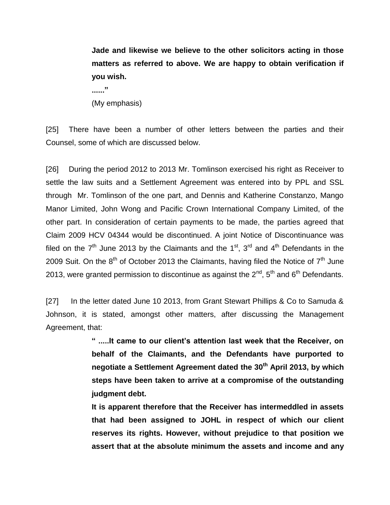**Jade and likewise we believe to the other solicitors acting in those matters as referred to above. We are happy to obtain verification if you wish.**

**......"**

(My emphasis)

[25] There have been a number of other letters between the parties and their Counsel, some of which are discussed below.

[26] During the period 2012 to 2013 Mr. Tomlinson exercised his right as Receiver to settle the law suits and a Settlement Agreement was entered into by PPL and SSL through Mr. Tomlinson of the one part, and Dennis and Katherine Constanzo, Mango Manor Limited, John Wong and Pacific Crown International Company Limited, of the other part. In consideration of certain payments to be made, the parties agreed that Claim 2009 HCV 04344 would be discontinued. A joint Notice of Discontinuance was filed on the 7<sup>th</sup> June 2013 by the Claimants and the 1<sup>st</sup>, 3<sup>rd</sup> and 4<sup>th</sup> Defendants in the 2009 Suit. On the  $8<sup>th</sup>$  of October 2013 the Claimants, having filed the Notice of  $7<sup>th</sup>$  June 2013, were granted permission to discontinue as against the  $2^{nd}$ ,  $5^{th}$  and  $6^{th}$  Defendants.

[27] In the letter dated June 10 2013, from Grant Stewart Phillips & Co to Samuda & Johnson, it is stated, amongst other matters, after discussing the Management Agreement, that:

> **" .....It came to our client's attention last week that the Receiver, on behalf of the Claimants, and the Defendants have purported to negotiate a Settlement Agreement dated the 30th April 2013, by which steps have been taken to arrive at a compromise of the outstanding judgment debt.**

> **It is apparent therefore that the Receiver has intermeddled in assets that had been assigned to JOHL in respect of which our client reserves its rights. However, without prejudice to that position we assert that at the absolute minimum the assets and income and any**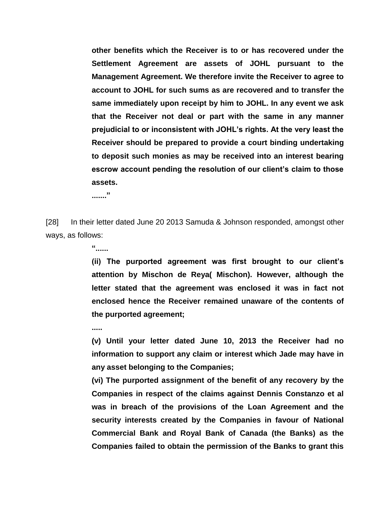**other benefits which the Receiver is to or has recovered under the Settlement Agreement are assets of JOHL pursuant to the Management Agreement. We therefore invite the Receiver to agree to account to JOHL for such sums as are recovered and to transfer the same immediately upon receipt by him to JOHL. In any event we ask that the Receiver not deal or part with the same in any manner prejudicial to or inconsistent with JOHL's rights. At the very least the Receiver should be prepared to provide a court binding undertaking to deposit such monies as may be received into an interest bearing escrow account pending the resolution of our client's claim to those assets.**

**......."** 

[28] In their letter dated June 20 2013 Samuda & Johnson responded, amongst other ways, as follows:

**"......** 

**(ii) The purported agreement was first brought to our client's attention by Mischon de Reya( Mischon). However, although the letter stated that the agreement was enclosed it was in fact not enclosed hence the Receiver remained unaware of the contents of the purported agreement;**

**.....**

**(v) Until your letter dated June 10, 2013 the Receiver had no information to support any claim or interest which Jade may have in any asset belonging to the Companies;**

**(vi) The purported assignment of the benefit of any recovery by the Companies in respect of the claims against Dennis Constanzo et al was in breach of the provisions of the Loan Agreement and the security interests created by the Companies in favour of National Commercial Bank and Royal Bank of Canada (the Banks) as the Companies failed to obtain the permission of the Banks to grant this**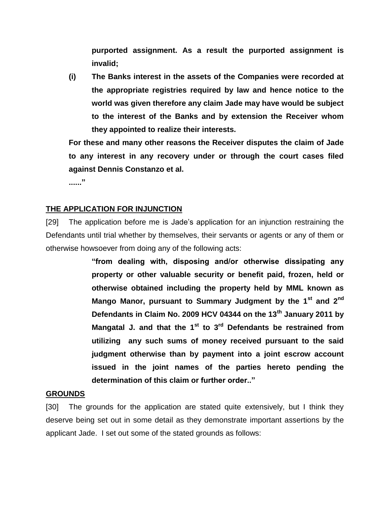**purported assignment. As a result the purported assignment is invalid;**

**(i) The Banks interest in the assets of the Companies were recorded at the appropriate registries required by law and hence notice to the world was given therefore any claim Jade may have would be subject to the interest of the Banks and by extension the Receiver whom they appointed to realize their interests.**

**For these and many other reasons the Receiver disputes the claim of Jade to any interest in any recovery under or through the court cases filed against Dennis Constanzo et al.**

**......"** 

### **THE APPLICATION FOR INJUNCTION**

[29] The application before me is Jade's application for an injunction restraining the Defendants until trial whether by themselves, their servants or agents or any of them or otherwise howsoever from doing any of the following acts:

> **"from dealing with, disposing and/or otherwise dissipating any property or other valuable security or benefit paid, frozen, held or otherwise obtained including the property held by MML known as Mango Manor, pursuant to Summary Judgment by the 1st and 2nd Defendants in Claim No. 2009 HCV 04344 on the 13th January 2011 by Mangatal J. and that the 1st to 3rd Defendants be restrained from utilizing any such sums of money received pursuant to the said judgment otherwise than by payment into a joint escrow account issued in the joint names of the parties hereto pending the determination of this claim or further order.."**

#### **GROUNDS**

[30] The grounds for the application are stated quite extensively, but I think they deserve being set out in some detail as they demonstrate important assertions by the applicant Jade. I set out some of the stated grounds as follows: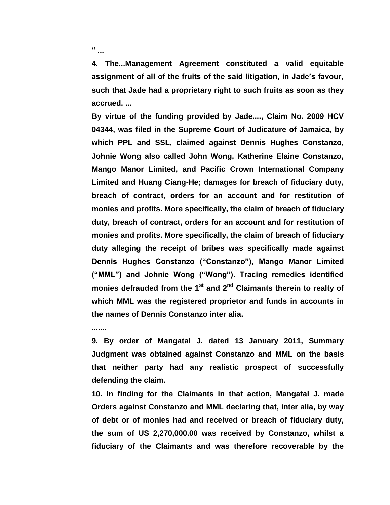**" ...**

**4. The...Management Agreement constituted a valid equitable assignment of all of the fruits of the said litigation, in Jade's favour, such that Jade had a proprietary right to such fruits as soon as they accrued. ...**

**By virtue of the funding provided by Jade...., Claim No. 2009 HCV 04344, was filed in the Supreme Court of Judicature of Jamaica, by which PPL and SSL, claimed against Dennis Hughes Constanzo, Johnie Wong also called John Wong, Katherine Elaine Constanzo, Mango Manor Limited, and Pacific Crown International Company Limited and Huang Ciang-He; damages for breach of fiduciary duty, breach of contract, orders for an account and for restitution of monies and profits. More specifically, the claim of breach of fiduciary duty, breach of contract, orders for an account and for restitution of monies and profits. More specifically, the claim of breach of fiduciary duty alleging the receipt of bribes was specifically made against Dennis Hughes Constanzo ("Constanzo"), Mango Manor Limited ("MML") and Johnie Wong ("Wong"). Tracing remedies identified monies defrauded from the 1st and 2nd Claimants therein to realty of which MML was the registered proprietor and funds in accounts in the names of Dennis Constanzo inter alia.** 

**.......**

**9. By order of Mangatal J. dated 13 January 2011, Summary Judgment was obtained against Constanzo and MML on the basis that neither party had any realistic prospect of successfully defending the claim.**

**10. In finding for the Claimants in that action, Mangatal J. made Orders against Constanzo and MML declaring that, inter alia, by way of debt or of monies had and received or breach of fiduciary duty, the sum of US 2,270,000.00 was received by Constanzo, whilst a fiduciary of the Claimants and was therefore recoverable by the**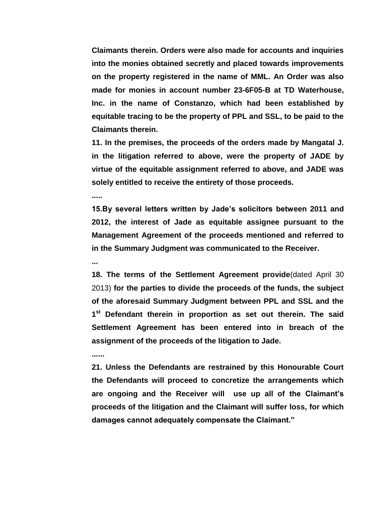**Claimants therein. Orders were also made for accounts and inquiries into the monies obtained secretly and placed towards improvements on the property registered in the name of MML. An Order was also made for monies in account number 23-6F05-B at TD Waterhouse, Inc. in the name of Constanzo, which had been established by equitable tracing to be the property of PPL and SSL, to be paid to the Claimants therein.**

**11. In the premises, the proceeds of the orders made by Mangatal J. in the litigation referred to above, were the property of JADE by virtue of the equitable assignment referred to above, and JADE was solely entitled to receive the entirety of those proceeds.**

**.....**

**15.By several letters written by Jade's solicitors between 2011 and 2012, the interest of Jade as equitable assignee pursuant to the Management Agreement of the proceeds mentioned and referred to in the Summary Judgment was communicated to the Receiver.**

**...**

**18. The terms of the Settlement Agreement provide**(dated April 30 2013) **for the parties to divide the proceeds of the funds, the subject of the aforesaid Summary Judgment between PPL and SSL and the 1 st Defendant therein in proportion as set out therein. The said Settlement Agreement has been entered into in breach of the assignment of the proceeds of the litigation to Jade.**

**......**

**21. Unless the Defendants are restrained by this Honourable Court the Defendants will proceed to concretize the arrangements which are ongoing and the Receiver will use up all of the Claimant's proceeds of the litigation and the Claimant will suffer loss, for which damages cannot adequately compensate the Claimant."**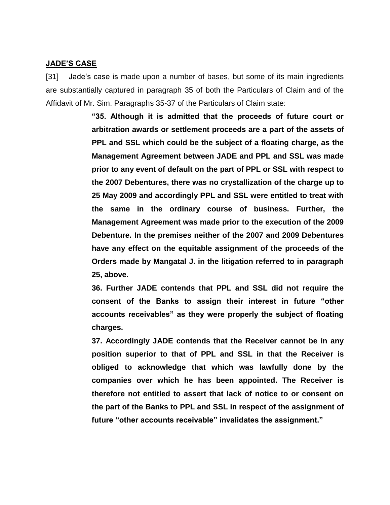#### **JADE'S CASE**

[31] Jade's case is made upon a number of bases, but some of its main ingredients are substantially captured in paragraph 35 of both the Particulars of Claim and of the Affidavit of Mr. Sim. Paragraphs 35-37 of the Particulars of Claim state:

> **"35. Although it is admitted that the proceeds of future court or arbitration awards or settlement proceeds are a part of the assets of PPL and SSL which could be the subject of a floating charge, as the Management Agreement between JADE and PPL and SSL was made prior to any event of default on the part of PPL or SSL with respect to the 2007 Debentures, there was no crystallization of the charge up to 25 May 2009 and accordingly PPL and SSL were entitled to treat with the same in the ordinary course of business. Further, the Management Agreement was made prior to the execution of the 2009 Debenture. In the premises neither of the 2007 and 2009 Debentures have any effect on the equitable assignment of the proceeds of the Orders made by Mangatal J. in the litigation referred to in paragraph 25, above.**

> **36. Further JADE contends that PPL and SSL did not require the consent of the Banks to assign their interest in future "other accounts receivables" as they were properly the subject of floating charges.**

> **37. Accordingly JADE contends that the Receiver cannot be in any position superior to that of PPL and SSL in that the Receiver is obliged to acknowledge that which was lawfully done by the companies over which he has been appointed. The Receiver is therefore not entitled to assert that lack of notice to or consent on the part of the Banks to PPL and SSL in respect of the assignment of future "other accounts receivable" invalidates the assignment."**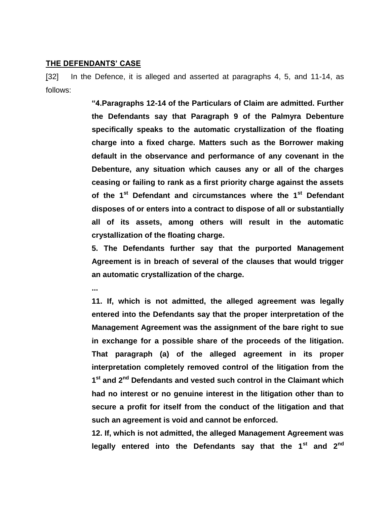#### **THE DEFENDANTS' CASE**

[32] In the Defence, it is alleged and asserted at paragraphs 4, 5, and 11-14, as follows:

> **"4.Paragraphs 12-14 of the Particulars of Claim are admitted. Further the Defendants say that Paragraph 9 of the Palmyra Debenture specifically speaks to the automatic crystallization of the floating charge into a fixed charge. Matters such as the Borrower making default in the observance and performance of any covenant in the Debenture, any situation which causes any or all of the charges ceasing or failing to rank as a first priority charge against the assets of the 1st Defendant and circumstances where the 1st Defendant disposes of or enters into a contract to dispose of all or substantially all of its assets, among others will result in the automatic crystallization of the floating charge.**

> **5. The Defendants further say that the purported Management Agreement is in breach of several of the clauses that would trigger an automatic crystallization of the charge.**

**...**

**11. If, which is not admitted, the alleged agreement was legally entered into the Defendants say that the proper interpretation of the Management Agreement was the assignment of the bare right to sue in exchange for a possible share of the proceeds of the litigation. That paragraph (a) of the alleged agreement in its proper interpretation completely removed control of the litigation from the 1 st and 2nd Defendants and vested such control in the Claimant which had no interest or no genuine interest in the litigation other than to secure a profit for itself from the conduct of the litigation and that such an agreement is void and cannot be enforced.**

**12. If, which is not admitted, the alleged Management Agreement was legally entered into the Defendants say that the 1st and 2nd**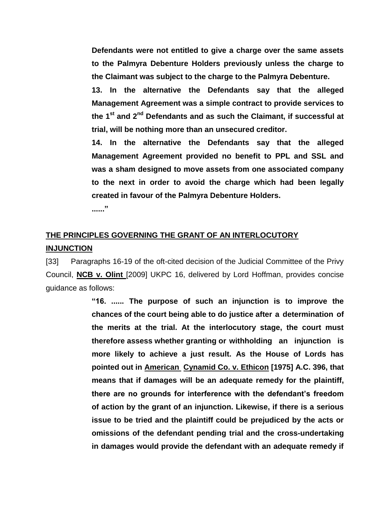**Defendants were not entitled to give a charge over the same assets to the Palmyra Debenture Holders previously unless the charge to the Claimant was subject to the charge to the Palmyra Debenture.**

**13. In the alternative the Defendants say that the alleged Management Agreement was a simple contract to provide services to the 1st and 2nd Defendants and as such the Claimant, if successful at trial, will be nothing more than an unsecured creditor.**

**14. In the alternative the Defendants say that the alleged Management Agreement provided no benefit to PPL and SSL and was a sham designed to move assets from one associated company to the next in order to avoid the charge which had been legally created in favour of the Palmyra Debenture Holders.** 

**......"**

# **THE PRINCIPLES GOVERNING THE GRANT OF AN INTERLOCUTORY INJUNCTION**

[33] Paragraphs 16-19 of the oft-cited decision of the Judicial Committee of the Privy Council, **NCB v. Olint** [2009] UKPC 16, delivered by Lord Hoffman, provides concise guidance as follows:

> **"16. ...... The purpose of such an injunction is to improve the chances of the court being able to do justice after a determination of the merits at the trial. At the interlocutory stage, the court must therefore assess whether granting or withholding an injunction is more likely to achieve a just result. As the House of Lords has pointed out in American Cynamid Co. v. Ethicon [1975] A.C. 396, that means that if damages will be an adequate remedy for the plaintiff, there are no grounds for interference with the defendant's freedom of action by the grant of an injunction. Likewise, if there is a serious issue to be tried and the plaintiff could be prejudiced by the acts or omissions of the defendant pending trial and the cross-undertaking in damages would provide the defendant with an adequate remedy if**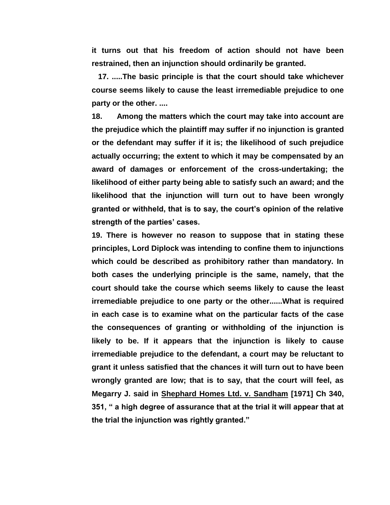**it turns out that his freedom of action should not have been restrained, then an injunction should ordinarily be granted.** 

 **17. .....The basic principle is that the court should take whichever course seems likely to cause the least irremediable prejudice to one party or the other. ....**

**18. Among the matters which the court may take into account are the prejudice which the plaintiff may suffer if no injunction is granted or the defendant may suffer if it is; the likelihood of such prejudice actually occurring; the extent to which it may be compensated by an award of damages or enforcement of the cross-undertaking; the likelihood of either party being able to satisfy such an award; and the likelihood that the injunction will turn out to have been wrongly granted or withheld, that is to say, the court's opinion of the relative strength of the parties' cases.**

**19. There is however no reason to suppose that in stating these principles, Lord Diplock was intending to confine them to injunctions which could be described as prohibitory rather than mandatory. In both cases the underlying principle is the same, namely, that the court should take the course which seems likely to cause the least irremediable prejudice to one party or the other......What is required in each case is to examine what on the particular facts of the case the consequences of granting or withholding of the injunction is likely to be. If it appears that the injunction is likely to cause irremediable prejudice to the defendant, a court may be reluctant to grant it unless satisfied that the chances it will turn out to have been wrongly granted are low; that is to say, that the court will feel, as Megarry J. said in Shephard Homes Ltd. v. Sandham [1971] Ch 340, 351, " a high degree of assurance that at the trial it will appear that at the trial the injunction was rightly granted."**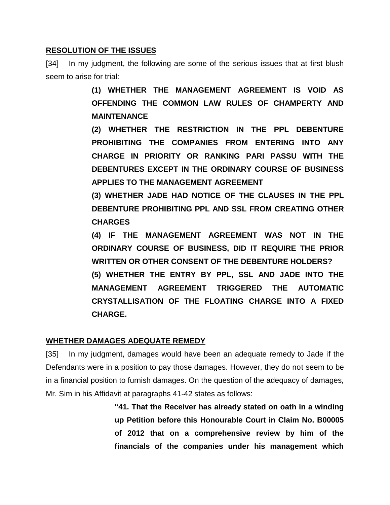# **RESOLUTION OF THE ISSUES**

[34] In my judgment, the following are some of the serious issues that at first blush seem to arise for trial:

> **(1) WHETHER THE MANAGEMENT AGREEMENT IS VOID AS OFFENDING THE COMMON LAW RULES OF CHAMPERTY AND MAINTENANCE**

> **(2) WHETHER THE RESTRICTION IN THE PPL DEBENTURE PROHIBITING THE COMPANIES FROM ENTERING INTO ANY CHARGE IN PRIORITY OR RANKING PARI PASSU WITH THE DEBENTURES EXCEPT IN THE ORDINARY COURSE OF BUSINESS APPLIES TO THE MANAGEMENT AGREEMENT**

> **(3) WHETHER JADE HAD NOTICE OF THE CLAUSES IN THE PPL DEBENTURE PROHIBITING PPL AND SSL FROM CREATING OTHER CHARGES**

> **(4) IF THE MANAGEMENT AGREEMENT WAS NOT IN THE ORDINARY COURSE OF BUSINESS, DID IT REQUIRE THE PRIOR WRITTEN OR OTHER CONSENT OF THE DEBENTURE HOLDERS?**

> **(5) WHETHER THE ENTRY BY PPL, SSL AND JADE INTO THE MANAGEMENT AGREEMENT TRIGGERED THE AUTOMATIC CRYSTALLISATION OF THE FLOATING CHARGE INTO A FIXED CHARGE.**

# **WHETHER DAMAGES ADEQUATE REMEDY**

[35] In my judgment, damages would have been an adequate remedy to Jade if the Defendants were in a position to pay those damages. However, they do not seem to be in a financial position to furnish damages. On the question of the adequacy of damages, Mr. Sim in his Affidavit at paragraphs 41-42 states as follows:

> **"41. That the Receiver has already stated on oath in a winding up Petition before this Honourable Court in Claim No. B00005 of 2012 that on a comprehensive review by him of the financials of the companies under his management which**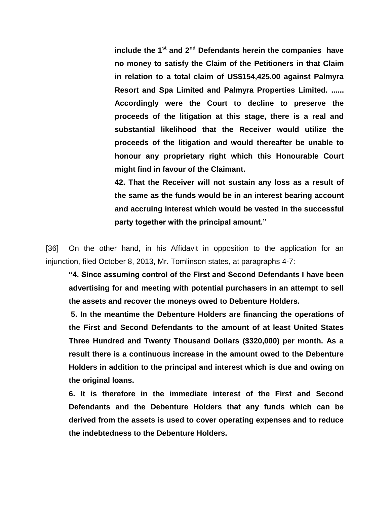**include the 1st and 2nd Defendants herein the companies have no money to satisfy the Claim of the Petitioners in that Claim in relation to a total claim of US\$154,425.00 against Palmyra Resort and Spa Limited and Palmyra Properties Limited. ...... Accordingly were the Court to decline to preserve the proceeds of the litigation at this stage, there is a real and substantial likelihood that the Receiver would utilize the proceeds of the litigation and would thereafter be unable to honour any proprietary right which this Honourable Court might find in favour of the Claimant.**

**42. That the Receiver will not sustain any loss as a result of the same as the funds would be in an interest bearing account and accruing interest which would be vested in the successful party together with the principal amount."**

[36] On the other hand, in his Affidavit in opposition to the application for an injunction, filed October 8, 2013, Mr. Tomlinson states, at paragraphs 4-7:

**"4. Since assuming control of the First and Second Defendants I have been advertising for and meeting with potential purchasers in an attempt to sell the assets and recover the moneys owed to Debenture Holders.** 

**5. In the meantime the Debenture Holders are financing the operations of the First and Second Defendants to the amount of at least United States Three Hundred and Twenty Thousand Dollars (\$320,000) per month. As a result there is a continuous increase in the amount owed to the Debenture Holders in addition to the principal and interest which is due and owing on the original loans.**

**6. It is therefore in the immediate interest of the First and Second Defendants and the Debenture Holders that any funds which can be derived from the assets is used to cover operating expenses and to reduce the indebtedness to the Debenture Holders.**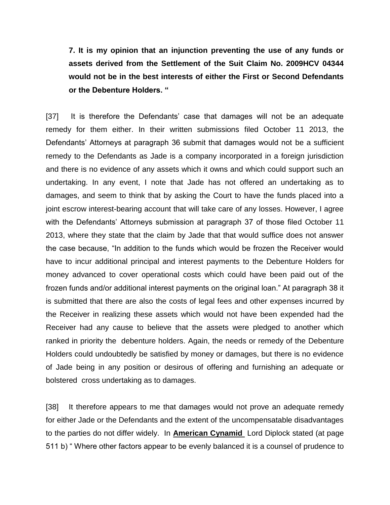**7. It is my opinion that an injunction preventing the use of any funds or assets derived from the Settlement of the Suit Claim No. 2009HCV 04344 would not be in the best interests of either the First or Second Defendants or the Debenture Holders. "** 

[37] It is therefore the Defendants' case that damages will not be an adequate remedy for them either. In their written submissions filed October 11 2013, the Defendants' Attorneys at paragraph 36 submit that damages would not be a sufficient remedy to the Defendants as Jade is a company incorporated in a foreign jurisdiction and there is no evidence of any assets which it owns and which could support such an undertaking. In any event, I note that Jade has not offered an undertaking as to damages, and seem to think that by asking the Court to have the funds placed into a joint escrow interest-bearing account that will take care of any losses. However, I agree with the Defendants' Attorneys submission at paragraph 37 of those filed October 11 2013, where they state that the claim by Jade that that would suffice does not answer the case because, "In addition to the funds which would be frozen the Receiver would have to incur additional principal and interest payments to the Debenture Holders for money advanced to cover operational costs which could have been paid out of the frozen funds and/or additional interest payments on the original loan." At paragraph 38 it is submitted that there are also the costs of legal fees and other expenses incurred by the Receiver in realizing these assets which would not have been expended had the Receiver had any cause to believe that the assets were pledged to another which ranked in priority the debenture holders. Again, the needs or remedy of the Debenture Holders could undoubtedly be satisfied by money or damages, but there is no evidence of Jade being in any position or desirous of offering and furnishing an adequate or bolstered cross undertaking as to damages.

[38] It therefore appears to me that damages would not prove an adequate remedy for either Jade or the Defendants and the extent of the uncompensatable disadvantages to the parties do not differ widely. In **American Cynamid** Lord Diplock stated (at page 511 b) " Where other factors appear to be evenly balanced it is a counsel of prudence to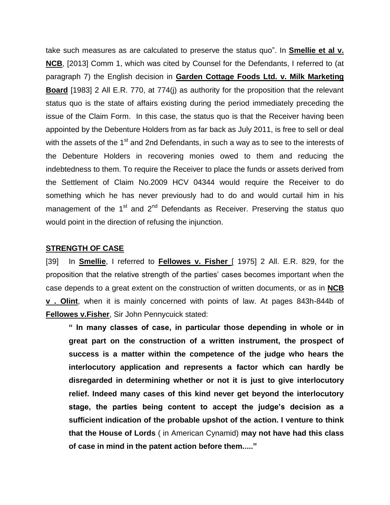take such measures as are calculated to preserve the status quo". In **Smellie et al v. NCB**, [2013] Comm 1, which was cited by Counsel for the Defendants, I referred to (at paragraph 7) the English decision in **Garden Cottage Foods Ltd. v. Milk Marketing Board** [1983] 2 All E.R. 770, at 774(j) as authority for the proposition that the relevant status quo is the state of affairs existing during the period immediately preceding the issue of the Claim Form. In this case, the status quo is that the Receiver having been appointed by the Debenture Holders from as far back as July 2011, is free to sell or deal with the assets of the  $1<sup>st</sup>$  and 2nd Defendants, in such a way as to see to the interests of the Debenture Holders in recovering monies owed to them and reducing the indebtedness to them. To require the Receiver to place the funds or assets derived from the Settlement of Claim No.2009 HCV 04344 would require the Receiver to do something which he has never previously had to do and would curtail him in his management of the  $1<sup>st</sup>$  and  $2<sup>nd</sup>$  Defendants as Receiver. Preserving the status quo would point in the direction of refusing the injunction.

#### **STRENGTH OF CASE**

[39] In **Smellie**, I referred to **Fellowes v. Fisher** [ 1975] 2 All. E.R. 829, for the proposition that the relative strength of the parties' cases becomes important when the case depends to a great extent on the construction of written documents, or as in **NCB v . Olint**, when it is mainly concerned with points of law. At pages 843h-844b of **Fellowes v.Fisher**, Sir John Pennycuick stated:

**" In many classes of case, in particular those depending in whole or in great part on the construction of a written instrument, the prospect of success is a matter within the competence of the judge who hears the interlocutory application and represents a factor which can hardly be disregarded in determining whether or not it is just to give interlocutory relief. Indeed many cases of this kind never get beyond the interlocutory stage, the parties being content to accept the judge's decision as a sufficient indication of the probable upshot of the action. I venture to think that the House of Lords** ( in American Cynamid) **may not have had this class of case in mind in the patent action before them....."**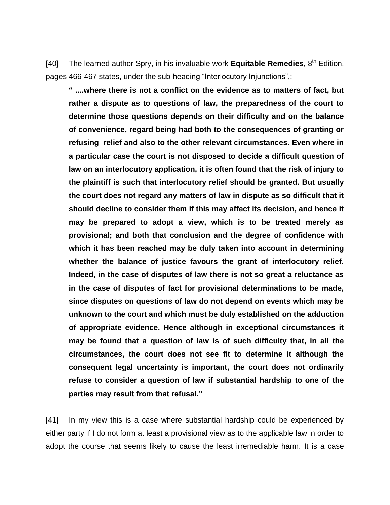[40] The learned author Spry, in his invaluable work **Equitable Remedies**, 8<sup>th</sup> Edition, pages 466-467 states, under the sub-heading "Interlocutory Injunctions",:

**" ....where there is not a conflict on the evidence as to matters of fact, but rather a dispute as to questions of law, the preparedness of the court to determine those questions depends on their difficulty and on the balance of convenience, regard being had both to the consequences of granting or refusing relief and also to the other relevant circumstances. Even where in a particular case the court is not disposed to decide a difficult question of law on an interlocutory application, it is often found that the risk of injury to the plaintiff is such that interlocutory relief should be granted. But usually the court does not regard any matters of law in dispute as so difficult that it should decline to consider them if this may affect its decision, and hence it may be prepared to adopt a view, which is to be treated merely as provisional; and both that conclusion and the degree of confidence with which it has been reached may be duly taken into account in determining whether the balance of justice favours the grant of interlocutory relief. Indeed, in the case of disputes of law there is not so great a reluctance as in the case of disputes of fact for provisional determinations to be made, since disputes on questions of law do not depend on events which may be unknown to the court and which must be duly established on the adduction of appropriate evidence. Hence although in exceptional circumstances it may be found that a question of law is of such difficulty that, in all the circumstances, the court does not see fit to determine it although the consequent legal uncertainty is important, the court does not ordinarily refuse to consider a question of law if substantial hardship to one of the parties may result from that refusal."**

[41] In my view this is a case where substantial hardship could be experienced by either party if I do not form at least a provisional view as to the applicable law in order to adopt the course that seems likely to cause the least irremediable harm. It is a case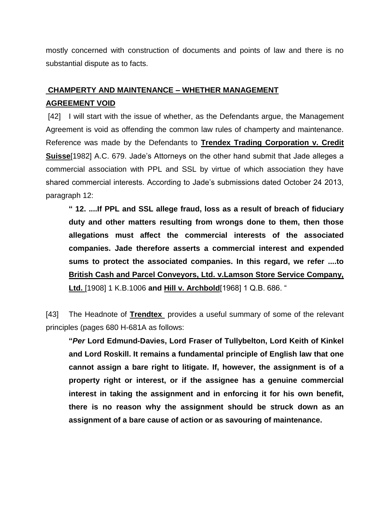mostly concerned with construction of documents and points of law and there is no substantial dispute as to facts.

# **CHAMPERTY AND MAINTENANCE – WHETHER MANAGEMENT AGREEMENT VOID**

[42] I will start with the issue of whether, as the Defendants argue, the Management Agreement is void as offending the common law rules of champerty and maintenance. Reference was made by the Defendants to **Trendex Trading Corporation v. Credit Suisse**[1982] A.C. 679. Jade's Attorneys on the other hand submit that Jade alleges a commercial association with PPL and SSL by virtue of which association they have shared commercial interests. According to Jade's submissions dated October 24 2013, paragraph 12:

**" 12. ....If PPL and SSL allege fraud, loss as a result of breach of fiduciary duty and other matters resulting from wrongs done to them, then those allegations must affect the commercial interests of the associated companies. Jade therefore asserts a commercial interest and expended sums to protect the associated companies. In this regard, we refer ....to British Cash and Parcel Conveyors, Ltd. v.Lamson Store Service Company, Ltd.** [1908] 1 K.B.1006 **and Hill v. Archbold**[1968] 1 Q.B. 686. "

[43] The Headnote of **Trendtex** provides a useful summary of some of the relevant principles (pages 680 H-681A as follows:

**"***Per* **Lord Edmund-Davies, Lord Fraser of Tullybelton, Lord Keith of Kinkel and Lord Roskill. It remains a fundamental principle of English law that one cannot assign a bare right to litigate. If, however, the assignment is of a property right or interest, or if the assignee has a genuine commercial interest in taking the assignment and in enforcing it for his own benefit, there is no reason why the assignment should be struck down as an assignment of a bare cause of action or as savouring of maintenance.**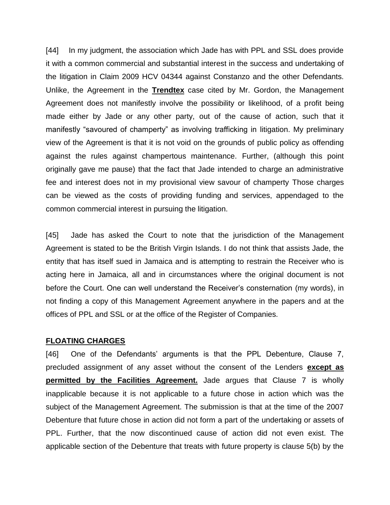[44] In my judgment, the association which Jade has with PPL and SSL does provide it with a common commercial and substantial interest in the success and undertaking of the litigation in Claim 2009 HCV 04344 against Constanzo and the other Defendants. Unlike, the Agreement in the **Trendtex** case cited by Mr. Gordon, the Management Agreement does not manifestly involve the possibility or likelihood, of a profit being made either by Jade or any other party, out of the cause of action, such that it manifestly "savoured of champerty" as involving trafficking in litigation. My preliminary view of the Agreement is that it is not void on the grounds of public policy as offending against the rules against champertous maintenance. Further, (although this point originally gave me pause) that the fact that Jade intended to charge an administrative fee and interest does not in my provisional view savour of champerty Those charges can be viewed as the costs of providing funding and services, appendaged to the common commercial interest in pursuing the litigation.

[45] Jade has asked the Court to note that the jurisdiction of the Management Agreement is stated to be the British Virgin Islands. I do not think that assists Jade, the entity that has itself sued in Jamaica and is attempting to restrain the Receiver who is acting here in Jamaica, all and in circumstances where the original document is not before the Court. One can well understand the Receiver's consternation (my words), in not finding a copy of this Management Agreement anywhere in the papers and at the offices of PPL and SSL or at the office of the Register of Companies.

### **FLOATING CHARGES**

[46] One of the Defendants' arguments is that the PPL Debenture, Clause 7, precluded assignment of any asset without the consent of the Lenders **except as permitted by the Facilities Agreement.** Jade argues that Clause 7 is wholly inapplicable because it is not applicable to a future chose in action which was the subject of the Management Agreement. The submission is that at the time of the 2007 Debenture that future chose in action did not form a part of the undertaking or assets of PPL. Further, that the now discontinued cause of action did not even exist. The applicable section of the Debenture that treats with future property is clause 5(b) by the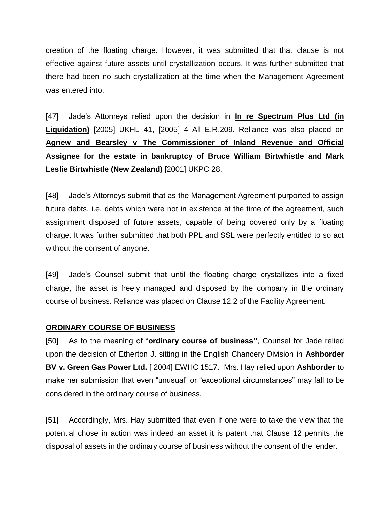creation of the floating charge. However, it was submitted that that clause is not effective against future assets until crystallization occurs. It was further submitted that there had been no such crystallization at the time when the Management Agreement was entered into.

[47] Jade's Attorneys relied upon the decision in **In re Spectrum Plus Ltd (in Liquidation)** [2005] UKHL 41, [2005] 4 All E.R.209. Reliance was also placed on **Agnew and Bearsley v The Commissioner of Inland Revenue and Official Assignee for the estate in bankruptcy of Bruce William Birtwhistle and Mark Leslie Birtwhistle (New Zealand)** [2001] UKPC 28.

[48] Jade's Attorneys submit that as the Management Agreement purported to assign future debts, i.e. debts which were not in existence at the time of the agreement, such assignment disposed of future assets, capable of being covered only by a floating charge. It was further submitted that both PPL and SSL were perfectly entitled to so act without the consent of anyone.

[49] Jade's Counsel submit that until the floating charge crystallizes into a fixed charge, the asset is freely managed and disposed by the company in the ordinary course of business. Reliance was placed on Clause 12.2 of the Facility Agreement.

# **ORDINARY COURSE OF BUSINESS**

[50] As to the meaning of "**ordinary course of business"**, Counsel for Jade relied upon the decision of Etherton J. sitting in the English Chancery Division in **Ashborder BV v. Green Gas Power Ltd.** [ 2004] EWHC 1517. Mrs. Hay relied upon **Ashborder** to make her submission that even "unusual" or "exceptional circumstances" may fall to be considered in the ordinary course of business.

[51] Accordingly, Mrs. Hay submitted that even if one were to take the view that the potential chose in action was indeed an asset it is patent that Clause 12 permits the disposal of assets in the ordinary course of business without the consent of the lender.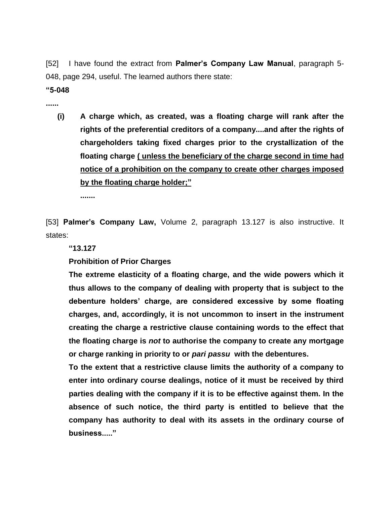[52] I have found the extract from **Palmer's Company Law Manual**, paragraph 5- 048, page 294, useful. The learned authors there state:

**"5-048**

**......**

**(i) A charge which, as created, was a floating charge will rank after the rights of the preferential creditors of a company....and after the rights of chargeholders taking fixed charges prior to the crystallization of the floating charge ( unless the beneficiary of the charge second in time had notice of a prohibition on the company to create other charges imposed by the floating charge holder;"**

**.......**

[53] **Palmer's Company Law,** Volume 2, paragraph 13.127 is also instructive. It states:

**"13.127**

**Prohibition of Prior Charges**

**The extreme elasticity of a floating charge, and the wide powers which it thus allows to the company of dealing with property that is subject to the debenture holders' charge, are considered excessive by some floating charges, and, accordingly, it is not uncommon to insert in the instrument creating the charge a restrictive clause containing words to the effect that the floating charge is** *not* **to authorise the company to create any mortgage or charge ranking in priority to or** *pari passu* **with the debentures.**

**To the extent that a restrictive clause limits the authority of a company to enter into ordinary course dealings, notice of it must be received by third parties dealing with the company if it is to be effective against them. In the absence of such notice, the third party is entitled to believe that the company has authority to deal with its assets in the ordinary course of business....."**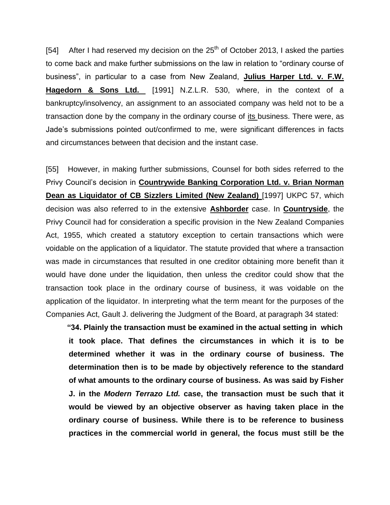[54] After I had reserved my decision on the  $25<sup>th</sup>$  of October 2013, I asked the parties to come back and make further submissions on the law in relation to "ordinary course of business", in particular to a case from New Zealand, **Julius Harper Ltd. v. F.W. Hagedorn & Sons Ltd.** [1991] N.Z.L.R. 530, where, in the context of a bankruptcy/insolvency, an assignment to an associated company was held not to be a transaction done by the company in the ordinary course of its business. There were, as Jade's submissions pointed out/confirmed to me, were significant differences in facts and circumstances between that decision and the instant case.

[55] However, in making further submissions, Counsel for both sides referred to the Privy Council's decision in **Countrywide Banking Corporation Ltd. v. Brian Norman Dean as Liquidator of CB Sizzlers Limited (New Zealand)** [1997] UKPC 57, which decision was also referred to in the extensive **Ashborder** case. In **Countryside**, the Privy Council had for consideration a specific provision in the New Zealand Companies Act, 1955, which created a statutory exception to certain transactions which were voidable on the application of a liquidator. The statute provided that where a transaction was made in circumstances that resulted in one creditor obtaining more benefit than it would have done under the liquidation, then unless the creditor could show that the transaction took place in the ordinary course of business, it was voidable on the application of the liquidator. In interpreting what the term meant for the purposes of the Companies Act, Gault J. delivering the Judgment of the Board, at paragraph 34 stated:

 **"34. Plainly the transaction must be examined in the actual setting in which it took place. That defines the circumstances in which it is to be determined whether it was in the ordinary course of business. The determination then is to be made by objectively reference to the standard of what amounts to the ordinary course of business. As was said by Fisher J. in the** *Modern Terrazo Ltd.* **case, the transaction must be such that it would be viewed by an objective observer as having taken place in the ordinary course of business. While there is to be reference to business practices in the commercial world in general, the focus must still be the**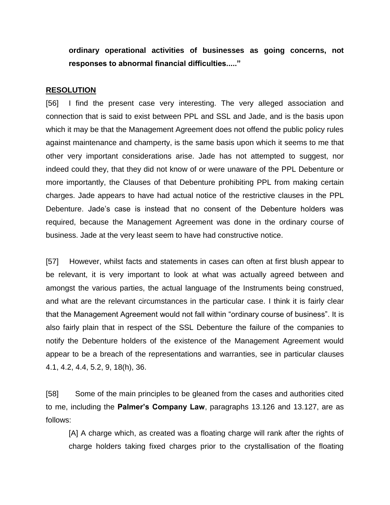**ordinary operational activities of businesses as going concerns, not responses to abnormal financial difficulties....."**

### **RESOLUTION**

[56] I find the present case very interesting. The very alleged association and connection that is said to exist between PPL and SSL and Jade, and is the basis upon which it may be that the Management Agreement does not offend the public policy rules against maintenance and champerty, is the same basis upon which it seems to me that other very important considerations arise. Jade has not attempted to suggest, nor indeed could they, that they did not know of or were unaware of the PPL Debenture or more importantly, the Clauses of that Debenture prohibiting PPL from making certain charges. Jade appears to have had actual notice of the restrictive clauses in the PPL Debenture. Jade's case is instead that no consent of the Debenture holders was required, because the Management Agreement was done in the ordinary course of business. Jade at the very least seem to have had constructive notice.

[57] However, whilst facts and statements in cases can often at first blush appear to be relevant, it is very important to look at what was actually agreed between and amongst the various parties, the actual language of the Instruments being construed, and what are the relevant circumstances in the particular case. I think it is fairly clear that the Management Agreement would not fall within "ordinary course of business". It is also fairly plain that in respect of the SSL Debenture the failure of the companies to notify the Debenture holders of the existence of the Management Agreement would appear to be a breach of the representations and warranties, see in particular clauses 4.1, 4.2, 4.4, 5.2, 9, 18(h), 36.

[58] Some of the main principles to be gleaned from the cases and authorities cited to me, including the **Palmer's Company Law**, paragraphs 13.126 and 13.127, are as follows:

[A] A charge which, as created was a floating charge will rank after the rights of charge holders taking fixed charges prior to the crystallisation of the floating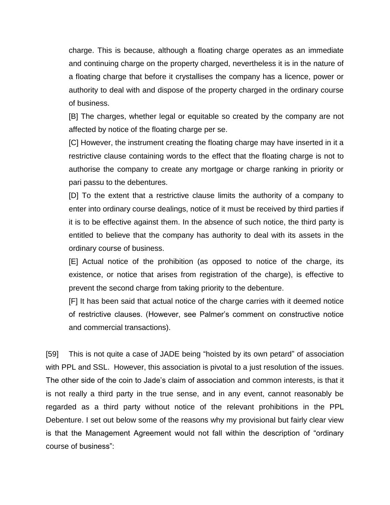charge. This is because, although a floating charge operates as an immediate and continuing charge on the property charged, nevertheless it is in the nature of a floating charge that before it crystallises the company has a licence, power or authority to deal with and dispose of the property charged in the ordinary course of business.

[B] The charges, whether legal or equitable so created by the company are not affected by notice of the floating charge per se.

[C] However, the instrument creating the floating charge may have inserted in it a restrictive clause containing words to the effect that the floating charge is not to authorise the company to create any mortgage or charge ranking in priority or pari passu to the debentures.

[D] To the extent that a restrictive clause limits the authority of a company to enter into ordinary course dealings, notice of it must be received by third parties if it is to be effective against them. In the absence of such notice, the third party is entitled to believe that the company has authority to deal with its assets in the ordinary course of business.

[E] Actual notice of the prohibition (as opposed to notice of the charge, its existence, or notice that arises from registration of the charge), is effective to prevent the second charge from taking priority to the debenture.

[F] It has been said that actual notice of the charge carries with it deemed notice of restrictive clauses. (However, see Palmer's comment on constructive notice and commercial transactions).

[59] This is not quite a case of JADE being "hoisted by its own petard" of association with PPL and SSL. However, this association is pivotal to a just resolution of the issues. The other side of the coin to Jade's claim of association and common interests, is that it is not really a third party in the true sense, and in any event, cannot reasonably be regarded as a third party without notice of the relevant prohibitions in the PPL Debenture. I set out below some of the reasons why my provisional but fairly clear view is that the Management Agreement would not fall within the description of "ordinary course of business":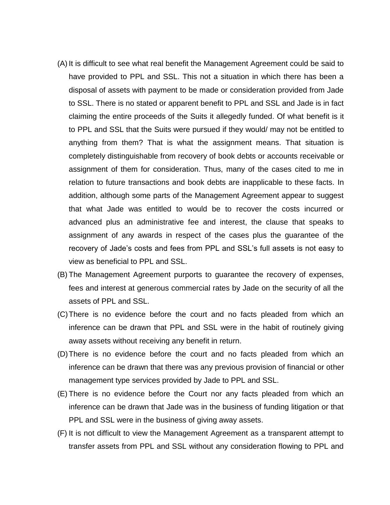- (A) It is difficult to see what real benefit the Management Agreement could be said to have provided to PPL and SSL. This not a situation in which there has been a disposal of assets with payment to be made or consideration provided from Jade to SSL. There is no stated or apparent benefit to PPL and SSL and Jade is in fact claiming the entire proceeds of the Suits it allegedly funded. Of what benefit is it to PPL and SSL that the Suits were pursued if they would/ may not be entitled to anything from them? That is what the assignment means. That situation is completely distinguishable from recovery of book debts or accounts receivable or assignment of them for consideration. Thus, many of the cases cited to me in relation to future transactions and book debts are inapplicable to these facts. In addition, although some parts of the Management Agreement appear to suggest that what Jade was entitled to would be to recover the costs incurred or advanced plus an administrative fee and interest, the clause that speaks to assignment of any awards in respect of the cases plus the guarantee of the recovery of Jade's costs and fees from PPL and SSL's full assets is not easy to view as beneficial to PPL and SSL.
- (B) The Management Agreement purports to guarantee the recovery of expenses, fees and interest at generous commercial rates by Jade on the security of all the assets of PPL and SSL.
- (C)There is no evidence before the court and no facts pleaded from which an inference can be drawn that PPL and SSL were in the habit of routinely giving away assets without receiving any benefit in return.
- (D)There is no evidence before the court and no facts pleaded from which an inference can be drawn that there was any previous provision of financial or other management type services provided by Jade to PPL and SSL.
- (E) There is no evidence before the Court nor any facts pleaded from which an inference can be drawn that Jade was in the business of funding litigation or that PPL and SSL were in the business of giving away assets.
- (F) It is not difficult to view the Management Agreement as a transparent attempt to transfer assets from PPL and SSL without any consideration flowing to PPL and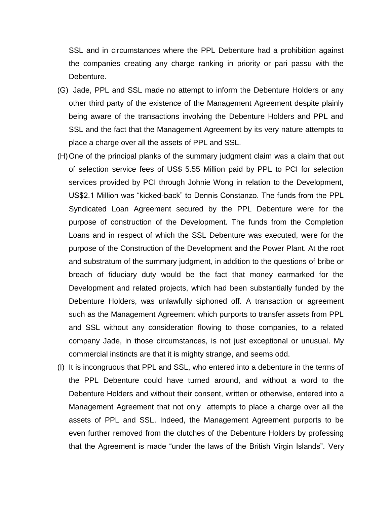SSL and in circumstances where the PPL Debenture had a prohibition against the companies creating any charge ranking in priority or pari passu with the Debenture.

- (G) Jade, PPL and SSL made no attempt to inform the Debenture Holders or any other third party of the existence of the Management Agreement despite plainly being aware of the transactions involving the Debenture Holders and PPL and SSL and the fact that the Management Agreement by its very nature attempts to place a charge over all the assets of PPL and SSL.
- (H)One of the principal planks of the summary judgment claim was a claim that out of selection service fees of US\$ 5.55 Million paid by PPL to PCI for selection services provided by PCI through Johnie Wong in relation to the Development, US\$2.1 Million was "kicked-back" to Dennis Constanzo. The funds from the PPL Syndicated Loan Agreement secured by the PPL Debenture were for the purpose of construction of the Development. The funds from the Completion Loans and in respect of which the SSL Debenture was executed, were for the purpose of the Construction of the Development and the Power Plant. At the root and substratum of the summary judgment, in addition to the questions of bribe or breach of fiduciary duty would be the fact that money earmarked for the Development and related projects, which had been substantially funded by the Debenture Holders, was unlawfully siphoned off. A transaction or agreement such as the Management Agreement which purports to transfer assets from PPL and SSL without any consideration flowing to those companies, to a related company Jade, in those circumstances, is not just exceptional or unusual. My commercial instincts are that it is mighty strange, and seems odd.
- (I) It is incongruous that PPL and SSL, who entered into a debenture in the terms of the PPL Debenture could have turned around, and without a word to the Debenture Holders and without their consent, written or otherwise, entered into a Management Agreement that not only attempts to place a charge over all the assets of PPL and SSL. Indeed, the Management Agreement purports to be even further removed from the clutches of the Debenture Holders by professing that the Agreement is made "under the laws of the British Virgin Islands". Very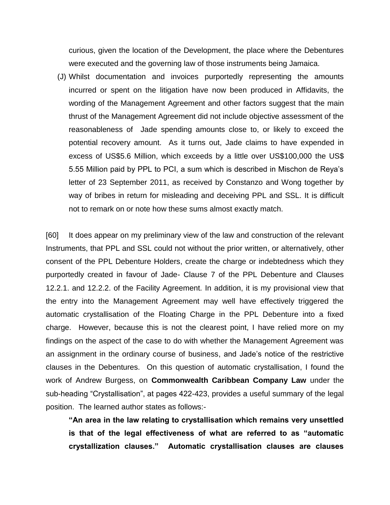curious, given the location of the Development, the place where the Debentures were executed and the governing law of those instruments being Jamaica.

(J) Whilst documentation and invoices purportedly representing the amounts incurred or spent on the litigation have now been produced in Affidavits, the wording of the Management Agreement and other factors suggest that the main thrust of the Management Agreement did not include objective assessment of the reasonableness of Jade spending amounts close to, or likely to exceed the potential recovery amount. As it turns out, Jade claims to have expended in excess of US\$5.6 Million, which exceeds by a little over US\$100,000 the US\$ 5.55 Million paid by PPL to PCI, a sum which is described in Mischon de Reya's letter of 23 September 2011, as received by Constanzo and Wong together by way of bribes in return for misleading and deceiving PPL and SSL. It is difficult not to remark on or note how these sums almost exactly match.

[60] It does appear on my preliminary view of the law and construction of the relevant Instruments, that PPL and SSL could not without the prior written, or alternatively, other consent of the PPL Debenture Holders, create the charge or indebtedness which they purportedly created in favour of Jade- Clause 7 of the PPL Debenture and Clauses 12.2.1. and 12.2.2. of the Facility Agreement. In addition, it is my provisional view that the entry into the Management Agreement may well have effectively triggered the automatic crystallisation of the Floating Charge in the PPL Debenture into a fixed charge. However, because this is not the clearest point, I have relied more on my findings on the aspect of the case to do with whether the Management Agreement was an assignment in the ordinary course of business, and Jade's notice of the restrictive clauses in the Debentures. On this question of automatic crystallisation, I found the work of Andrew Burgess, on **Commonwealth Caribbean Company Law** under the sub-heading "Crystallisation", at pages 422-423, provides a useful summary of the legal position. The learned author states as follows:-

**"An area in the law relating to crystallisation which remains very unsettled is that of the legal effectiveness of what are referred to as "automatic crystallization clauses." Automatic crystallisation clauses are clauses**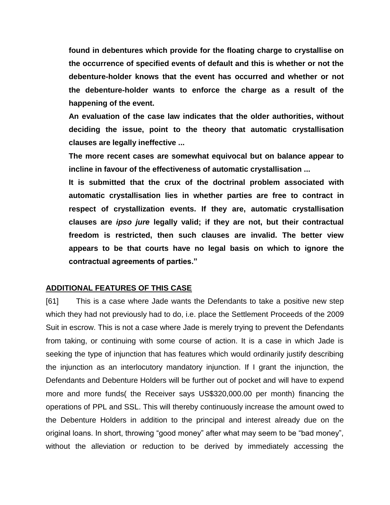**found in debentures which provide for the floating charge to crystallise on the occurrence of specified events of default and this is whether or not the debenture-holder knows that the event has occurred and whether or not the debenture-holder wants to enforce the charge as a result of the happening of the event.**

**An evaluation of the case law indicates that the older authorities, without deciding the issue, point to the theory that automatic crystallisation clauses are legally ineffective ...**

**The more recent cases are somewhat equivocal but on balance appear to incline in favour of the effectiveness of automatic crystallisation ...**

**It is submitted that the crux of the doctrinal problem associated with automatic crystallisation lies in whether parties are free to contract in respect of crystallization events. If they are, automatic crystallisation clauses are** *ipso jure* **legally valid; if they are not, but their contractual freedom is restricted, then such clauses are invalid. The better view appears to be that courts have no legal basis on which to ignore the contractual agreements of parties."**

#### **ADDITIONAL FEATURES OF THIS CASE**

[61] This is a case where Jade wants the Defendants to take a positive new step which they had not previously had to do, i.e. place the Settlement Proceeds of the 2009 Suit in escrow. This is not a case where Jade is merely trying to prevent the Defendants from taking, or continuing with some course of action. It is a case in which Jade is seeking the type of injunction that has features which would ordinarily justify describing the injunction as an interlocutory mandatory injunction. If I grant the injunction, the Defendants and Debenture Holders will be further out of pocket and will have to expend more and more funds( the Receiver says US\$320,000.00 per month) financing the operations of PPL and SSL. This will thereby continuously increase the amount owed to the Debenture Holders in addition to the principal and interest already due on the original loans. In short, throwing "good money" after what may seem to be "bad money", without the alleviation or reduction to be derived by immediately accessing the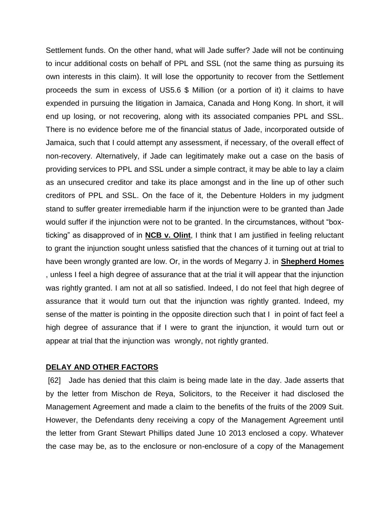Settlement funds. On the other hand, what will Jade suffer? Jade will not be continuing to incur additional costs on behalf of PPL and SSL (not the same thing as pursuing its own interests in this claim). It will lose the opportunity to recover from the Settlement proceeds the sum in excess of US5.6 \$ Million (or a portion of it) it claims to have expended in pursuing the litigation in Jamaica, Canada and Hong Kong. In short, it will end up losing, or not recovering, along with its associated companies PPL and SSL. There is no evidence before me of the financial status of Jade, incorporated outside of Jamaica, such that I could attempt any assessment, if necessary, of the overall effect of non-recovery. Alternatively, if Jade can legitimately make out a case on the basis of providing services to PPL and SSL under a simple contract, it may be able to lay a claim as an unsecured creditor and take its place amongst and in the line up of other such creditors of PPL and SSL. On the face of it, the Debenture Holders in my judgment stand to suffer greater irremediable harm if the injunction were to be granted than Jade would suffer if the injunction were not to be granted. In the circumstances, without "boxticking" as disapproved of in **NCB v. Olint**, I think that I am justified in feeling reluctant to grant the injunction sought unless satisfied that the chances of it turning out at trial to have been wrongly granted are low. Or, in the words of Megarry J. in **Shepherd Homes** , unless I feel a high degree of assurance that at the trial it will appear that the injunction was rightly granted. I am not at all so satisfied. Indeed, I do not feel that high degree of assurance that it would turn out that the injunction was rightly granted. Indeed, my sense of the matter is pointing in the opposite direction such that I in point of fact feel a high degree of assurance that if I were to grant the injunction, it would turn out or appear at trial that the injunction was wrongly, not rightly granted.

#### **DELAY AND OTHER FACTORS**

[62] Jade has denied that this claim is being made late in the day. Jade asserts that by the letter from Mischon de Reya, Solicitors, to the Receiver it had disclosed the Management Agreement and made a claim to the benefits of the fruits of the 2009 Suit. However, the Defendants deny receiving a copy of the Management Agreement until the letter from Grant Stewart Phillips dated June 10 2013 enclosed a copy. Whatever the case may be, as to the enclosure or non-enclosure of a copy of the Management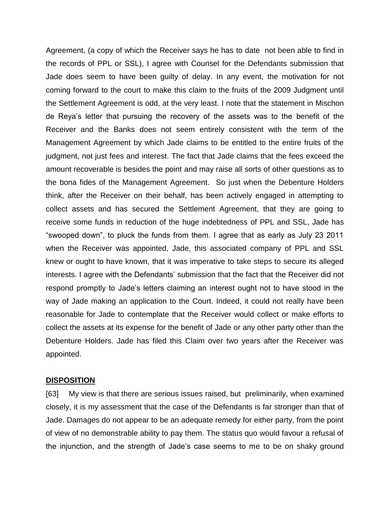Agreement, (a copy of which the Receiver says he has to date not been able to find in the records of PPL or SSL), I agree with Counsel for the Defendants submission that Jade does seem to have been guilty of delay. In any event, the motivation for not coming forward to the court to make this claim to the fruits of the 2009 Judgment until the Settlement Agreement is odd, at the very least. I note that the statement in Mischon de Reya's letter that pursuing the recovery of the assets was to the benefit of the Receiver and the Banks does not seem entirely consistent with the term of the Management Agreement by which Jade claims to be entitled to the entire fruits of the judgment, not just fees and interest. The fact that Jade claims that the fees exceed the amount recoverable is besides the point and may raise all sorts of other questions as to the bona fides of the Management Agreement. So just when the Debenture Holders think, after the Receiver on their behalf, has been actively engaged in attempting to collect assets and has secured the Settlement Agreement, that they are going to receive some funds in reduction of the huge indebtedness of PPL and SSL, Jade has "swooped down", to pluck the funds from them. I agree that as early as July 23 2011 when the Receiver was appointed, Jade, this associated company of PPL and SSL knew or ought to have known, that it was imperative to take steps to secure its alleged interests. I agree with the Defendants' submission that the fact that the Receiver did not respond promptly to Jade's letters claiming an interest ought not to have stood in the way of Jade making an application to the Court. Indeed, it could not really have been reasonable for Jade to contemplate that the Receiver would collect or make efforts to collect the assets at its expense for the benefit of Jade or any other party other than the Debenture Holders. Jade has filed this Claim over two years after the Receiver was appointed.

#### **DISPOSITION**

[63] My view is that there are serious issues raised, but preliminarily, when examined closely, it is my assessment that the case of the Defendants is far stronger than that of Jade. Damages do not appear to be an adequate remedy for either party, from the point of view of no demonstrable ability to pay them. The status quo would favour a refusal of the injunction, and the strength of Jade's case seems to me to be on shaky ground